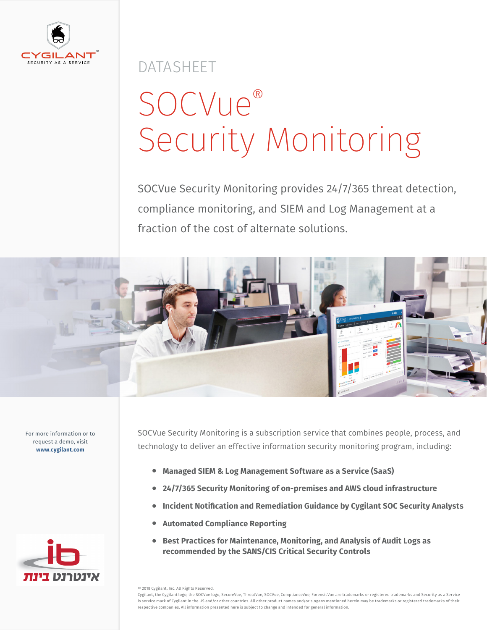

DATASHEET

# SOCVue® Security Monitoring

SOCVue Security Monitoring provides 24/7/365 threat detection, compliance monitoring, and SIEM and Log Management at a fraction of the cost of alternate solutions.



For more information or to request a demo, visit **www.cygilant.com**



SOCVue Security Monitoring is a subscription service that combines people, process, and technology to deliver an effective information security monitoring program, including:

- **• Managed SIEM & Log Management Software as a Service (SaaS)**
- **• 24/7/365 Security Monitoring of on-premises and AWS cloud infrastructure**
- **• Incident Notification and Remediation Guidance by Cygilant SOC Security Analysts**
- **• Automated Compliance Reporting**
- **• Best Practices for Maintenance, Monitoring, and Analysis of Audit Logs as recommended by the SANS/CIS Critical Security Controls**

© 2018 Cygilant, Inc. All Rights Reserved.

Cygilant, the Cygilant logo, the SOCVue logo, SecureVue, ThreatVue, SOCVue, ComplianceVue, ForensicVue are trademarks or registered trademarks and Security as a Service is service mark of Cygilant in the US and/or other countries. All other product names and/or slogans mentioned herein may be trademarks or registered trademarks of their respective companies. All information presented here is subject to change and intended for general information.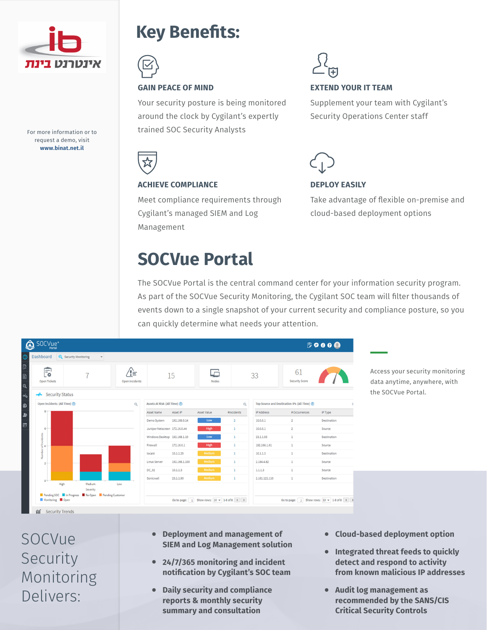

For more information or to request a demo, visit **www.binat.net.il**

#### **Key Benefits:**



Your security posture is being monitored around the clock by Cygilant's expertly trained SOC Security Analysts

**EXTEND YOUR IT TEAM**

Supplement your team with Cygilant's Security Operations Center staff



#### **ACHIEVE COMPLIANCE**

Meet compliance requirements through Cygilant's managed SIEM and Log Management

**DEPLOY EASILY** 

Take advantage of flexible on-premise and cloud-based deployment options

### **SOCVue Portal**

The SOCVue Portal is the central command center for your information security program. As part of the SOCVue Security Monitoring, the Cygilant SOC team will filter thousands of events down to a single snapshot of your current security and compliance posture, so you can quickly determine what needs your attention.

| <b>Q</b> Security Monitoring<br><b>Dashboard</b> |                       |            |                                           |               |                    |                                               |                   |                             |             |
|--------------------------------------------------|-----------------------|------------|-------------------------------------------|---------------|--------------------|-----------------------------------------------|-------------------|-----------------------------|-------------|
| 鳥<br><b>Open Tickets</b>                         | ′!≒<br>Open Incidents |            | 15                                        |               | <b>Nodes</b>       |                                               | 33                | 61<br><b>Security Score</b> |             |
| <b>Security Status</b><br>ᅭ                      |                       |            |                                           |               |                    |                                               |                   |                             |             |
| Open Incidents (All Time) ?                      |                       | $^{\circ}$ | Assets At Risk (All Time) ?<br>$^{\odot}$ |               |                    | Top Source and Destination IPs (All Time) (?) |                   |                             |             |
| R.                                               |                       |            | <b>Asset Name</b>                         | Asset IP      | <b>Asset Value</b> | #Incidents                                    | <b>IP Address</b> | # Occurrences               | IP Type     |
|                                                  |                       |            | Demo System                               | 192.168.0.14  | Low                | $\overline{2}$                                | 10.0.0.1          | $\overline{2}$              | Destination |
| $6 -$                                            |                       |            | Juniper Netscreen 172.16.0.44             |               | High               | 1                                             | 10.0.0.1          | $\overline{2}$              | Source      |
| Number of Incidents                              |                       |            | Windows Desktop 192.168.1.10              |               | Low                | $\mathbf{1}$                                  | 23.1.1.93         | $\mathbf{1}$                | Destination |
|                                                  |                       |            | Firewall                                  | 172.16.0.1    | High               | $\mathbf{1}$                                  | 192,168,1,61      | $1\,$                       | Source      |
|                                                  |                       |            | local4                                    | 10.1.1.25     | Medium             | $\mathbf{1}$                                  | 10.1.1.3          | $\mathbf{1}$                | Destination |
| $\overline{2}$                                   |                       |            | Linux Server                              | 192.168.1.100 | Medium             | $\mathbf{1}$                                  | 2.184.4.82        | 1                           | Source      |
|                                                  |                       |            | $DC_02$                                   | 10.1.1.3      | Medium             | $\mathbf{1}$                                  | 1.1.1.3           | $\mathbf{1}$                | Source      |
| $0 -$                                            |                       |            | Sonicwall                                 | 23.1.1.90     | Medium             | $\mathbf{1}$                                  | 2.181.122.110     | $1\,$                       | Destination |
| High                                             | Medium<br>Severity    | Low        |                                           |               |                    |                                               |                   |                             |             |

Access your security monitoring data anytime, anywhere, with the SOCVue Portal.

SOCVue Security Monitoring Delivers:

- **• Deployment and management of SIEM and Log Management solution**
- **• 24/7/365 monitoring and incident notification by Cygilant's SOC team**
- **• Daily security and compliance reports & monthly security summary and consultation**
- **• Cloud-based deployment option**
- **• Integrated threat feeds to quickly detect and respond to activity from known malicious IP addresses**
- **• Audit log management as recommended by the SANS/CIS Critical Security Controls**